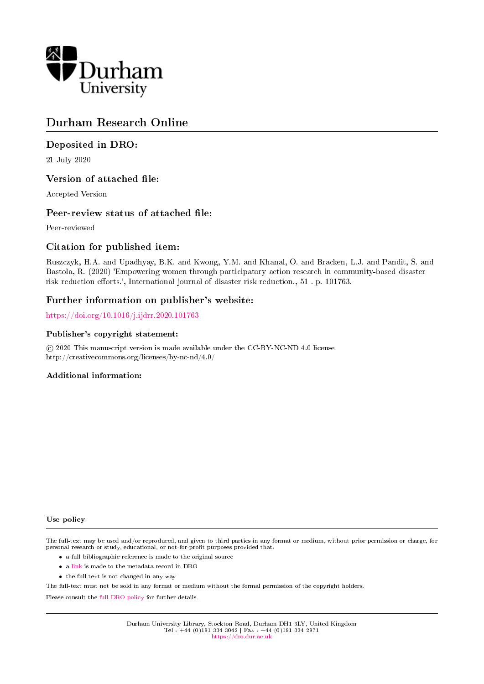

# Durham Research Online

### Deposited in DRO:

21 July 2020

### Version of attached file:

Accepted Version

### Peer-review status of attached file:

Peer-reviewed

### Citation for published item:

Ruszczyk, H.A. and Upadhyay, B.K. and Kwong, Y.M. and Khanal, O. and Bracken, L.J. and Pandit, S. and Bastola, R. (2020) 'Empowering women through participatory action research in community-based disaster risk reduction efforts.', International journal of disaster risk reduction., 51 . p. 101763.

### Further information on publisher's website:

<https://doi.org/10.1016/j.ijdrr.2020.101763>

#### Publisher's copyright statement:

 $\overline{c}$  2020 This manuscript version is made available under the CC-BY-NC-ND 4.0 license http://creativecommons.org/licenses/by-nc-nd/4.0/

#### Additional information:

#### Use policy

The full-text may be used and/or reproduced, and given to third parties in any format or medium, without prior permission or charge, for personal research or study, educational, or not-for-profit purposes provided that:

- a full bibliographic reference is made to the original source
- a [link](http://dro.dur.ac.uk/31331/) is made to the metadata record in DRO
- the full-text is not changed in any way

The full-text must not be sold in any format or medium without the formal permission of the copyright holders.

Please consult the [full DRO policy](https://dro.dur.ac.uk/policies/usepolicy.pdf) for further details.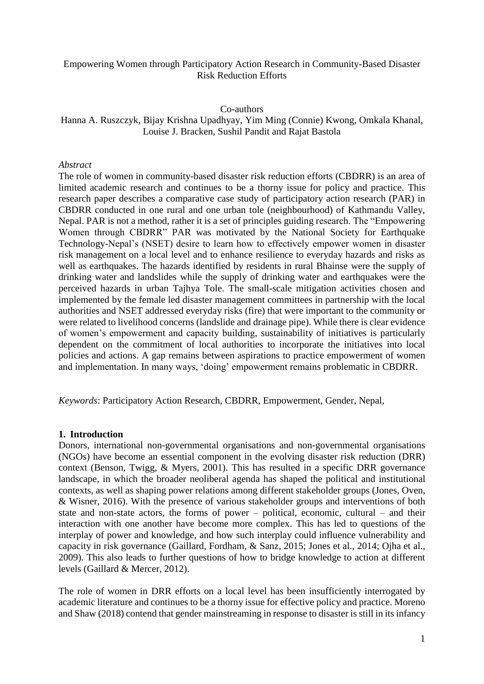#### Empowering Women through Participatory Action Research in Community-Based Disaster Risk Reduction Efforts

Co-authors

Hanna A. Ruszczyk, Bijay Krishna Upadhyay, Yim Ming (Connie) Kwong, Omkala Khanal, Louise J. Bracken, Sushil Pandit and Rajat Bastola

### *Abstract*

The role of women in community-based disaster risk reduction efforts (CBDRR) is an area of limited academic research and continues to be a thorny issue for policy and practice. This research paper describes a comparative case study of participatory action research (PAR) in CBDRR conducted in one rural and one urban tole (neighbourhood) of Kathmandu Valley, Nepal. PAR is not a method, rather it is a set of principles guiding research. The "Empowering Women through CBDRR" PAR was motivated by the National Society for Earthquake Technology-Nepal's (NSET) desire to learn how to effectively empower women in disaster risk management on a local level and to enhance resilience to everyday hazards and risks as well as earthquakes. The hazards identified by residents in rural Bhainse were the supply of drinking water and landslides while the supply of drinking water and earthquakes were the perceived hazards in urban Tajhya Tole. The small-scale mitigation activities chosen and implemented by the female led disaster management committees in partnership with the local authorities and NSET addressed everyday risks (fire) that were important to the community or were related to livelihood concerns (landslide and drainage pipe). While there is clear evidence of women's empowerment and capacity building, sustainability of initiatives is particularly dependent on the commitment of local authorities to incorporate the initiatives into local policies and actions. A gap remains between aspirations to practice empowerment of women and implementation. In many ways, 'doing' empowerment remains problematic in CBDRR.

*Keywords*: Participatory Action Research, CBDRR, Empowerment, Gender, Nepal,

### **1. Introduction**

Donors, international non-governmental organisations and non-governmental organisations (NGOs) have become an essential component in the evolving disaster risk reduction (DRR) context (Benson, Twigg, & Myers, 2001). This has resulted in a specific DRR governance landscape, in which the broader neoliberal agenda has shaped the political and institutional contexts, as well as shaping power relations among different stakeholder groups (Jones, Oven, & Wisner, 2016). With the presence of various stakeholder groups and interventions of both state and non-state actors, the forms of power – political, economic, cultural – and their interaction with one another have become more complex. This has led to questions of the interplay of power and knowledge, and how such interplay could influence vulnerability and capacity in risk governance (Gaillard, Fordham, & Sanz, 2015; Jones et al., 2014; Ojha et al., 2009). This also leads to further questions of how to bridge knowledge to action at different levels (Gaillard & Mercer, 2012).

The role of women in DRR efforts on a local level has been insufficiently interrogated by academic literature and continues to be a thorny issue for effective policy and practice. Moreno and Shaw (2018) contend that gender mainstreaming in response to disaster is still in its infancy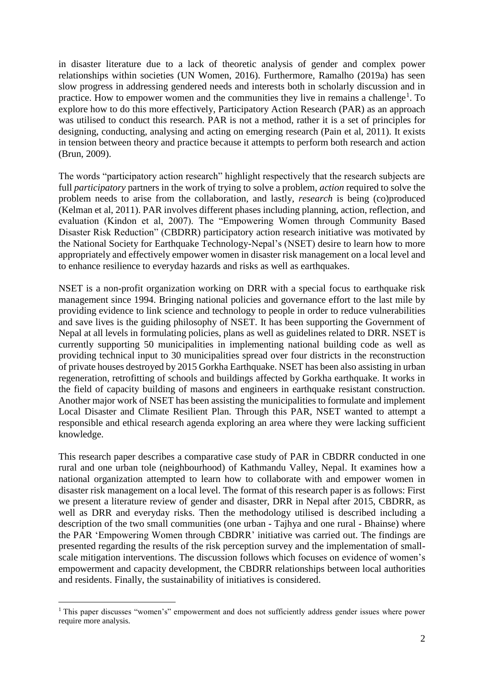in disaster literature due to a lack of theoretic analysis of gender and complex power relationships within societies (UN Women, 2016). Furthermore, Ramalho (2019a) has seen slow progress in addressing gendered needs and interests both in scholarly discussion and in practice. How to empower women and the communities they live in remains a challenge<sup>1</sup>. To explore how to do this more effectively, Participatory Action Research (PAR) as an approach was utilised to conduct this research. PAR is not a method, rather it is a set of principles for designing, conducting, analysing and acting on emerging research (Pain et al, 2011). It exists in tension between theory and practice because it attempts to perform both research and action (Brun, 2009).

The words "participatory action research" highlight respectively that the research subjects are full *participatory* partners in the work of trying to solve a problem, *action* required to solve the problem needs to arise from the collaboration, and lastly, *research* is being (co)produced (Kelman et al, 2011). PAR involves different phases including planning, action, reflection, and evaluation (Kindon et al, 2007). The "Empowering Women through Community Based Disaster Risk Reduction" (CBDRR) participatory action research initiative was motivated by the National Society for Earthquake Technology-Nepal's (NSET) desire to learn how to more appropriately and effectively empower women in disaster risk management on a local level and to enhance resilience to everyday hazards and risks as well as earthquakes.

NSET is a non-profit organization working on DRR with a special focus to earthquake risk management since 1994. Bringing national policies and governance effort to the last mile by providing evidence to link science and technology to people in order to reduce vulnerabilities and save lives is the guiding philosophy of NSET. It has been supporting the Government of Nepal at all levels in formulating policies, plans as well as guidelines related to DRR. NSET is currently supporting 50 municipalities in implementing national building code as well as providing technical input to 30 municipalities spread over four districts in the reconstruction of private houses destroyed by 2015 Gorkha Earthquake. NSET has been also assisting in urban regeneration, retrofitting of schools and buildings affected by Gorkha earthquake. It works in the field of capacity building of masons and engineers in earthquake resistant construction. Another major work of NSET has been assisting the municipalities to formulate and implement Local Disaster and Climate Resilient Plan. Through this PAR, NSET wanted to attempt a responsible and ethical research agenda exploring an area where they were lacking sufficient knowledge.

This research paper describes a comparative case study of PAR in CBDRR conducted in one rural and one urban tole (neighbourhood) of Kathmandu Valley, Nepal. It examines how a national organization attempted to learn how to collaborate with and empower women in disaster risk management on a local level. The format of this research paper is as follows: First we present a literature review of gender and disaster, DRR in Nepal after 2015, CBDRR, as well as DRR and everyday risks. Then the methodology utilised is described including a description of the two small communities (one urban - Tajhya and one rural - Bhainse) where the PAR 'Empowering Women through CBDRR' initiative was carried out. The findings are presented regarding the results of the risk perception survey and the implementation of smallscale mitigation interventions. The discussion follows which focuses on evidence of women's empowerment and capacity development, the CBDRR relationships between local authorities and residents. Finally, the sustainability of initiatives is considered.

1

<sup>&</sup>lt;sup>1</sup> This paper discusses "women's" empowerment and does not sufficiently address gender issues where power require more analysis.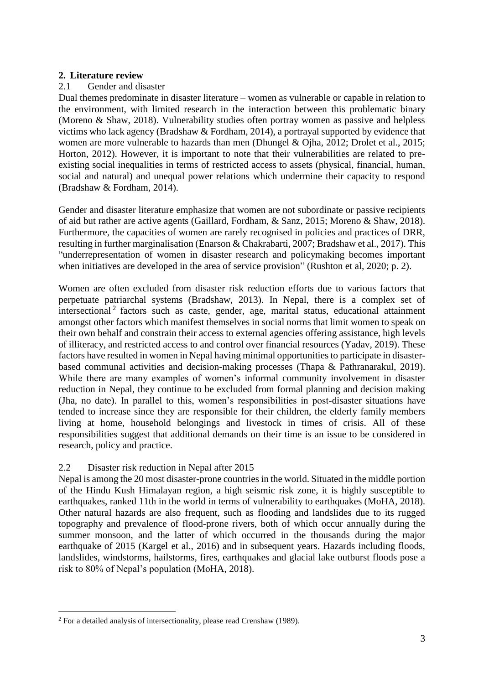### **2. Literature review**

### 2.1 Gender and disaster

Dual themes predominate in disaster literature – women as vulnerable or capable in relation to the environment, with limited research in the interaction between this problematic binary (Moreno & Shaw, 2018). Vulnerability studies often portray women as passive and helpless victims who lack agency (Bradshaw & Fordham, 2014), a portrayal supported by evidence that women are more vulnerable to hazards than men (Dhungel & Ojha, 2012; Drolet et al., 2015; Horton, 2012). However, it is important to note that their vulnerabilities are related to preexisting social inequalities in terms of restricted access to assets (physical, financial, human, social and natural) and unequal power relations which undermine their capacity to respond (Bradshaw & Fordham, 2014).

Gender and disaster literature emphasize that women are not subordinate or passive recipients of aid but rather are active agents (Gaillard, Fordham, & Sanz, 2015; Moreno & Shaw, 2018). Furthermore, the capacities of women are rarely recognised in policies and practices of DRR, resulting in further marginalisation (Enarson & Chakrabarti, 2007; Bradshaw et al., 2017). This "underrepresentation of women in disaster research and policymaking becomes important when initiatives are developed in the area of service provision" (Rushton et al, 2020; p. 2).

Women are often excluded from disaster risk reduction efforts due to various factors that perpetuate patriarchal systems (Bradshaw, 2013). In Nepal, there is a complex set of intersectional<sup>2</sup> factors such as caste, gender, age, marital status, educational attainment amongst other factors which manifest themselves in social norms that limit women to speak on their own behalf and constrain their access to external agencies offering assistance, high levels of illiteracy, and restricted access to and control over financial resources (Yadav, 2019). These factors have resulted in women in Nepal having minimal opportunities to participate in disasterbased communal activities and decision-making processes (Thapa & Pathranarakul, 2019). While there are many examples of women's informal community involvement in disaster reduction in Nepal, they continue to be excluded from formal planning and decision making (Jha, no date). In parallel to this, women's responsibilities in post-disaster situations have tended to increase since they are responsible for their children, the elderly family members living at home, household belongings and livestock in times of crisis. All of these responsibilities suggest that additional demands on their time is an issue to be considered in research, policy and practice.

# 2.2 Disaster risk reduction in Nepal after 2015

Nepal is among the 20 most disaster-prone countries in the world. Situated in the middle portion of the Hindu Kush Himalayan region, a high seismic risk zone, it is highly susceptible to earthquakes, ranked 11th in the world in terms of vulnerability to earthquakes (MoHA, 2018). Other natural hazards are also frequent, such as flooding and landslides due to its rugged topography and prevalence of flood-prone rivers, both of which occur annually during the summer monsoon, and the latter of which occurred in the thousands during the major earthquake of 2015 (Kargel et al., 2016) and in subsequent years. Hazards including floods, landslides, windstorms, hailstorms, fires, earthquakes and glacial lake outburst floods pose a risk to 80% of Nepal's population (MoHA, 2018).

<u>.</u>

<sup>2</sup> For a detailed analysis of intersectionality, please read Crenshaw (1989).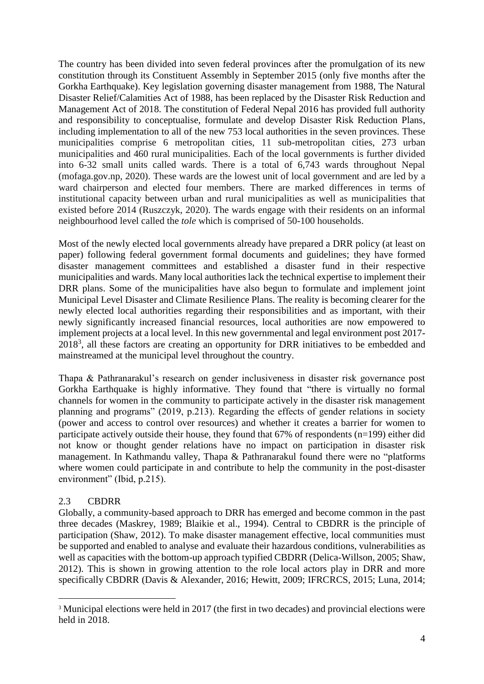The country has been divided into seven federal provinces after the promulgation of its new constitution through its Constituent Assembly in September 2015 (only five months after the Gorkha Earthquake). Key legislation governing disaster management from 1988, The Natural Disaster Relief/Calamities Act of 1988, has been replaced by the Disaster Risk Reduction and Management Act of 2018. The constitution of Federal Nepal 2016 has provided full authority and responsibility to conceptualise, formulate and develop Disaster Risk Reduction Plans, including implementation to all of the new 753 local authorities in the seven provinces. These municipalities comprise 6 metropolitan cities, 11 sub-metropolitan cities, 273 urban municipalities and 460 rural municipalities. Each of the local governments is further divided into 6-32 small units called wards. There is a total of 6,743 wards throughout Nepal (mofaga.gov.np, 2020). These wards are the lowest unit of local government and are led by a ward chairperson and elected four members. There are marked differences in terms of institutional capacity between urban and rural municipalities as well as municipalities that existed before 2014 (Ruszczyk, 2020). The wards engage with their residents on an informal neighbourhood level called the *tole* which is comprised of 50-100 households.

Most of the newly elected local governments already have prepared a DRR policy (at least on paper) following federal government formal documents and guidelines; they have formed disaster management committees and established a disaster fund in their respective municipalities and wards. Many local authorities lack the technical expertise to implement their DRR plans. Some of the municipalities have also begun to formulate and implement joint Municipal Level Disaster and Climate Resilience Plans. The reality is becoming clearer for the newly elected local authorities regarding their responsibilities and as important, with their newly significantly increased financial resources, local authorities are now empowered to implement projects at a local level. In this new governmental and legal environment post 2017-  $2018<sup>3</sup>$ , all these factors are creating an opportunity for DRR initiatives to be embedded and mainstreamed at the municipal level throughout the country.

Thapa & Pathranarakul's research on gender inclusiveness in disaster risk governance post Gorkha Earthquake is highly informative. They found that "there is virtually no formal channels for women in the community to participate actively in the disaster risk management planning and programs" (2019, p.213). Regarding the effects of gender relations in society (power and access to control over resources) and whether it creates a barrier for women to participate actively outside their house, they found that 67% of respondents (n=199) either did not know or thought gender relations have no impact on participation in disaster risk management. In Kathmandu valley, Thapa & Pathranarakul found there were no "platforms where women could participate in and contribute to help the community in the post-disaster environment" (Ibid, p.215).

# 2.3 CBDRR

<u>.</u>

Globally, a community-based approach to DRR has emerged and become common in the past three decades (Maskrey, 1989; Blaikie et al., 1994). Central to CBDRR is the principle of participation (Shaw, 2012). To make disaster management effective, local communities must be supported and enabled to analyse and evaluate their hazardous conditions, vulnerabilities as well as capacities with the bottom-up approach typified CBDRR (Delica-Willson, 2005; Shaw, 2012). This is shown in growing attention to the role local actors play in DRR and more specifically CBDRR (Davis & Alexander, 2016; Hewitt, 2009; IFRCRCS, 2015; Luna, 2014;

<sup>&</sup>lt;sup>3</sup> Municipal elections were held in 2017 (the first in two decades) and provincial elections were held in 2018.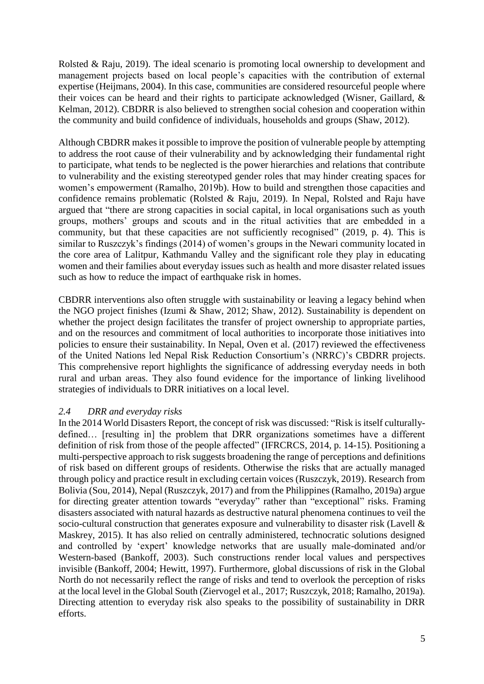Rolsted & Raju, 2019). The ideal scenario is promoting local ownership to development and management projects based on local people's capacities with the contribution of external expertise (Heijmans, 2004). In this case, communities are considered resourceful people where their voices can be heard and their rights to participate acknowledged (Wisner, Gaillard, & Kelman, 2012). CBDRR is also believed to strengthen social cohesion and cooperation within the community and build confidence of individuals, households and groups (Shaw, 2012).

Although CBDRR makes it possible to improve the position of vulnerable people by attempting to address the root cause of their vulnerability and by acknowledging their fundamental right to participate, what tends to be neglected is the power hierarchies and relations that contribute to vulnerability and the existing stereotyped gender roles that may hinder creating spaces for women's empowerment (Ramalho, 2019b). How to build and strengthen those capacities and confidence remains problematic (Rolsted & Raju, 2019). In Nepal, Rolsted and Raju have argued that "there are strong capacities in social capital, in local organisations such as youth groups, mothers' groups and scouts and in the ritual activities that are embedded in a community, but that these capacities are not sufficiently recognised" (2019, p. 4). This is similar to Ruszczyk's findings (2014) of women's groups in the Newari community located in the core area of Lalitpur, Kathmandu Valley and the significant role they play in educating women and their families about everyday issues such as health and more disaster related issues such as how to reduce the impact of earthquake risk in homes.

CBDRR interventions also often struggle with sustainability or leaving a legacy behind when the NGO project finishes (Izumi & Shaw, 2012; Shaw, 2012). Sustainability is dependent on whether the project design facilitates the transfer of project ownership to appropriate parties, and on the resources and commitment of local authorities to incorporate those initiatives into policies to ensure their sustainability. In Nepal, Oven et al. (2017) reviewed the effectiveness of the United Nations led Nepal Risk Reduction Consortium's (NRRC)'s CBDRR projects. This comprehensive report highlights the significance of addressing everyday needs in both rural and urban areas. They also found evidence for the importance of linking livelihood strategies of individuals to DRR initiatives on a local level.

# *2.4 DRR and everyday risks*

In the 2014 World Disasters Report, the concept of risk was discussed: "Risk is itself culturallydefined… [resulting in] the problem that DRR organizations sometimes have a different definition of risk from those of the people affected" (IFRCRCS, 2014, p. 14-15). Positioning a multi-perspective approach to risk suggests broadening the range of perceptions and definitions of risk based on different groups of residents. Otherwise the risks that are actually managed through policy and practice result in excluding certain voices (Ruszczyk, 2019). Research from Bolivia (Sou, 2014), Nepal (Ruszczyk, 2017) and from the Philippines (Ramalho, 2019a) argue for directing greater attention towards "everyday" rather than "exceptional" risks. Framing disasters associated with natural hazards as destructive natural phenomena continues to veil the socio-cultural construction that generates exposure and vulnerability to disaster risk (Lavell & Maskrey, 2015). It has also relied on centrally administered, technocratic solutions designed and controlled by 'expert' knowledge networks that are usually male-dominated and/or Western-based (Bankoff, 2003). Such constructions render local values and perspectives invisible (Bankoff, 2004; Hewitt, 1997). Furthermore, global discussions of risk in the Global North do not necessarily reflect the range of risks and tend to overlook the perception of risks at the local level in the Global South (Ziervogel et al., 2017; Ruszczyk, 2018; Ramalho, 2019a). Directing attention to everyday risk also speaks to the possibility of sustainability in DRR efforts.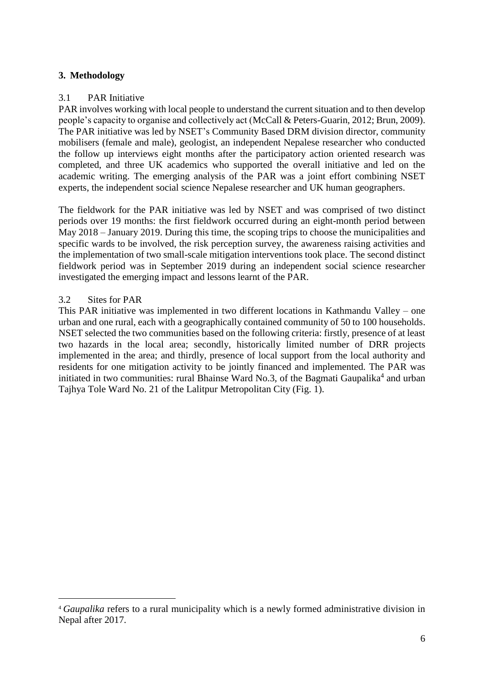# **3. Methodology**

# 3.1 PAR Initiative

PAR involves working with local people to understand the current situation and to then develop people's capacity to organise and collectively act (McCall & Peters-Guarin, 2012; Brun, 2009). The PAR initiative was led by NSET's Community Based DRM division director, community mobilisers (female and male), geologist, an independent Nepalese researcher who conducted the follow up interviews eight months after the participatory action oriented research was completed, and three UK academics who supported the overall initiative and led on the academic writing. The emerging analysis of the PAR was a joint effort combining NSET experts, the independent social science Nepalese researcher and UK human geographers.

The fieldwork for the PAR initiative was led by NSET and was comprised of two distinct periods over 19 months: the first fieldwork occurred during an eight-month period between May 2018 – January 2019. During this time, the scoping trips to choose the municipalities and specific wards to be involved, the risk perception survey, the awareness raising activities and the implementation of two small-scale mitigation interventions took place. The second distinct fieldwork period was in September 2019 during an independent social science researcher investigated the emerging impact and lessons learnt of the PAR.

# 3.2 Sites for PAR

<u>.</u>

This PAR initiative was implemented in two different locations in Kathmandu Valley – one urban and one rural, each with a geographically contained community of 50 to 100 households. NSET selected the two communities based on the following criteria: firstly, presence of at least two hazards in the local area; secondly, historically limited number of DRR projects implemented in the area; and thirdly, presence of local support from the local authority and residents for one mitigation activity to be jointly financed and implemented. The PAR was initiated in two communities: rural Bhainse Ward No.3, of the Bagmati Gaupalika<sup>4</sup> and urban Tajhya Tole Ward No. 21 of the Lalitpur Metropolitan City (Fig. 1).

<sup>4</sup> *Gaupalika* refers to a rural municipality which is a newly formed administrative division in Nepal after 2017.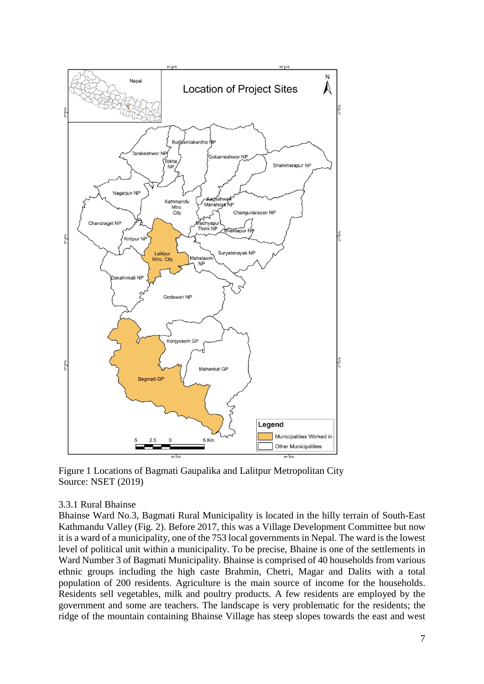

Figure 1 Locations of Bagmati Gaupalika and Lalitpur Metropolitan City Source: NSET (2019)

### 3.3.1 Rural Bhainse

Bhainse Ward No.3, Bagmati Rural Municipality is located in the hilly terrain of South-East Kathmandu Valley (Fig. 2). Before 2017, this was a Village Development Committee but now it is a ward of a municipality, one of the 753 local governments in Nepal. The ward is the lowest level of political unit within a municipality. To be precise, Bhaine is one of the settlements in Ward Number 3 of Bagmati Municipality. Bhainse is comprised of 40 households from various ethnic groups including the high caste Brahmin, Chetri, Magar and Dalits with a total population of 200 residents. Agriculture is the main source of income for the households. Residents sell vegetables, milk and poultry products. A few residents are employed by the government and some are teachers. The landscape is very problematic for the residents; the ridge of the mountain containing Bhainse Village has steep slopes towards the east and west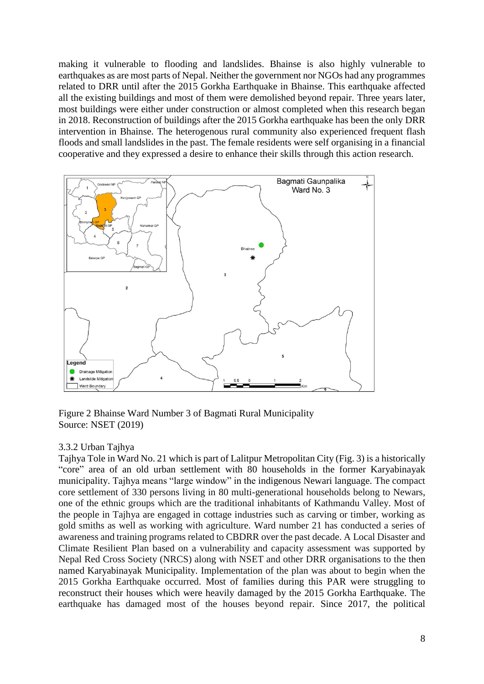making it vulnerable to flooding and landslides. Bhainse is also highly vulnerable to earthquakes as are most parts of Nepal. Neither the government nor NGOs had any programmes related to DRR until after the 2015 Gorkha Earthquake in Bhainse. This earthquake affected all the existing buildings and most of them were demolished beyond repair. Three years later, most buildings were either under construction or almost completed when this research began in 2018. Reconstruction of buildings after the 2015 Gorkha earthquake has been the only DRR intervention in Bhainse. The heterogenous rural community also experienced frequent flash floods and small landslides in the past. The female residents were self organising in a financial cooperative and they expressed a desire to enhance their skills through this action research.



Figure 2 Bhainse Ward Number 3 of Bagmati Rural Municipality Source: NSET (2019)

### 3.3.2 Urban Tajhya

Tajhya Tole in Ward No. 21 which is part of Lalitpur Metropolitan City (Fig. 3) is a historically "core" area of an old urban settlement with 80 households in the former Karyabinayak municipality. Tajhya means "large window" in the indigenous Newari language. The compact core settlement of 330 persons living in 80 multi-generational households belong to Newars, one of the ethnic groups which are the traditional inhabitants of Kathmandu Valley. Most of the people in Tajhya are engaged in cottage industries such as carving or timber, working as gold smiths as well as working with agriculture. Ward number 21 has conducted a series of awareness and training programs related to CBDRR over the past decade. A Local Disaster and Climate Resilient Plan based on a vulnerability and capacity assessment was supported by Nepal Red Cross Society (NRCS) along with NSET and other DRR organisations to the then named Karyabinayak Municipality. Implementation of the plan was about to begin when the 2015 Gorkha Earthquake occurred. Most of families during this PAR were struggling to reconstruct their houses which were heavily damaged by the 2015 Gorkha Earthquake. The earthquake has damaged most of the houses beyond repair. Since 2017, the political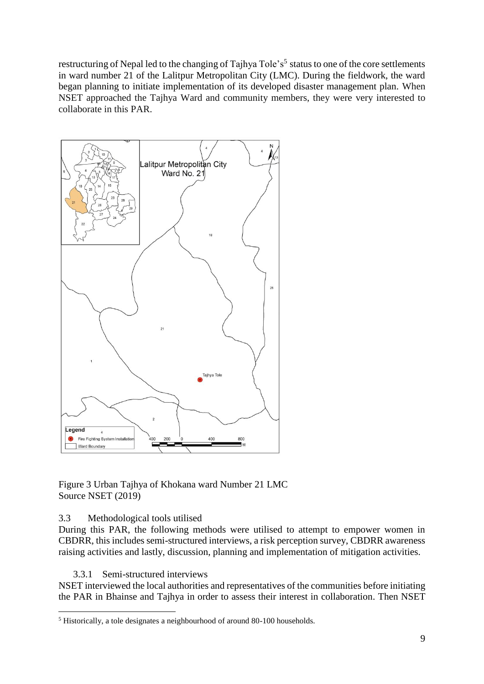restructuring of Nepal led to the changing of Tajhya Tole's<sup>5</sup> status to one of the core settlements in ward number 21 of the Lalitpur Metropolitan City (LMC). During the fieldwork, the ward began planning to initiate implementation of its developed disaster management plan. When NSET approached the Tajhya Ward and community members, they were very interested to collaborate in this PAR.



Figure 3 Urban Tajhya of Khokana ward Number 21 LMC Source NSET (2019)

# 3.3 Methodological tools utilised

During this PAR, the following methods were utilised to attempt to empower women in CBDRR, this includes semi-structured interviews, a risk perception survey, CBDRR awareness raising activities and lastly, discussion, planning and implementation of mitigation activities.

# 3.3.1 Semi-structured interviews

NSET interviewed the local authorities and representatives of the communities before initiating the PAR in Bhainse and Tajhya in order to assess their interest in collaboration. Then NSET

<sup>&</sup>lt;u>.</u> <sup>5</sup> Historically, a tole designates a neighbourhood of around 80-100 households.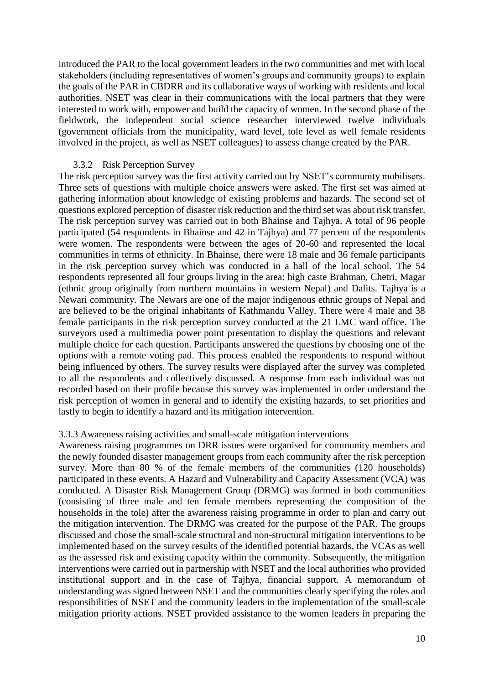introduced the PAR to the local government leaders in the two communities and met with local stakeholders (including representatives of women's groups and community groups) to explain the goals of the PAR in CBDRR and its collaborative ways of working with residents and local authorities. NSET was clear in their communications with the local partners that they were interested to work with, empower and build the capacity of women. In the second phase of the fieldwork, the independent social science researcher interviewed twelve individuals (government officials from the municipality, ward level, tole level as well female residents involved in the project, as well as NSET colleagues) to assess change created by the PAR.

#### 3.3.2 Risk Perception Survey

The risk perception survey was the first activity carried out by NSET's community mobilisers. Three sets of questions with multiple choice answers were asked. The first set was aimed at gathering information about knowledge of existing problems and hazards. The second set of questions explored perception of disaster risk reduction and the third set was about risk transfer. The risk perception survey was carried out in both Bhainse and Tajhya. A total of 96 people participated (54 respondents in Bhainse and 42 in Tajhya) and 77 percent of the respondents were women. The respondents were between the ages of 20-60 and represented the local communities in terms of ethnicity. In Bhainse, there were 18 male and 36 female participants in the risk perception survey which was conducted in a hall of the local school. The 54 respondents represented all four groups living in the area: high caste Brahman, Chetri, Magar (ethnic group originally from northern mountains in western Nepal) and Dalits. Tajhya is a Newari community. The Newars are one of the major indigenous ethnic groups of Nepal and are believed to be the original inhabitants of Kathmandu Valley. There were 4 male and 38 female participants in the risk perception survey conducted at the 21 LMC ward office. The surveyors used a multimedia power point presentation to display the questions and relevant multiple choice for each question. Participants answered the questions by choosing one of the options with a remote voting pad. This process enabled the respondents to respond without being influenced by others. The survey results were displayed after the survey was completed to all the respondents and collectively discussed. A response from each individual was not recorded based on their profile because this survey was implemented in order understand the risk perception of women in general and to identify the existing hazards, to set priorities and lastly to begin to identify a hazard and its mitigation intervention.

### 3.3.3 Awareness raising activities and small-scale mitigation interventions

Awareness raising programmes on DRR issues were organised for community members and the newly founded disaster management groups from each community after the risk perception survey. More than 80 % of the female members of the communities (120 households) participated in these events. A Hazard and Vulnerability and Capacity Assessment (VCA) was conducted. A Disaster Risk Management Group (DRMG) was formed in both communities (consisting of three male and ten female members representing the composition of the households in the tole) after the awareness raising programme in order to plan and carry out the mitigation intervention. The DRMG was created for the purpose of the PAR. The groups discussed and chose the small-scale structural and non-structural mitigation interventions to be implemented based on the survey results of the identified potential hazards, the VCAs as well as the assessed risk and existing capacity within the community. Subsequently, the mitigation interventions were carried out in partnership with NSET and the local authorities who provided institutional support and in the case of Tajhya, financial support. A memorandum of understanding was signed between NSET and the communities clearly specifying the roles and responsibilities of NSET and the community leaders in the implementation of the small-scale mitigation priority actions. NSET provided assistance to the women leaders in preparing the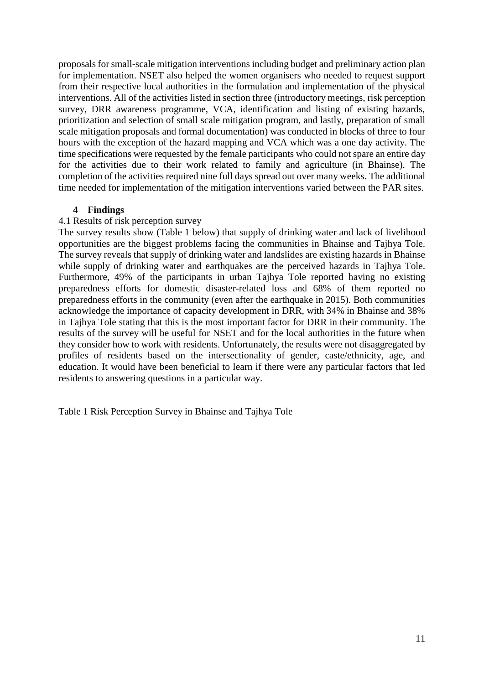proposals for small-scale mitigation interventions including budget and preliminary action plan for implementation. NSET also helped the women organisers who needed to request support from their respective local authorities in the formulation and implementation of the physical interventions. All of the activities listed in section three (introductory meetings, risk perception survey, DRR awareness programme, VCA, identification and listing of existing hazards, prioritization and selection of small scale mitigation program, and lastly, preparation of small scale mitigation proposals and formal documentation) was conducted in blocks of three to four hours with the exception of the hazard mapping and VCA which was a one day activity. The time specifications were requested by the female participants who could not spare an entire day for the activities due to their work related to family and agriculture (in Bhainse). The completion of the activities required nine full days spread out over many weeks. The additional time needed for implementation of the mitigation interventions varied between the PAR sites.

### **4 Findings**

### 4.1 Results of risk perception survey

The survey results show (Table 1 below) that supply of drinking water and lack of livelihood opportunities are the biggest problems facing the communities in Bhainse and Tajhya Tole. The survey reveals that supply of drinking water and landslides are existing hazards in Bhainse while supply of drinking water and earthquakes are the perceived hazards in Tajhya Tole. Furthermore, 49% of the participants in urban Tajhya Tole reported having no existing preparedness efforts for domestic disaster-related loss and 68% of them reported no preparedness efforts in the community (even after the earthquake in 2015). Both communities acknowledge the importance of capacity development in DRR, with 34% in Bhainse and 38% in Tajhya Tole stating that this is the most important factor for DRR in their community. The results of the survey will be useful for NSET and for the local authorities in the future when they consider how to work with residents. Unfortunately, the results were not disaggregated by profiles of residents based on the intersectionality of gender, caste/ethnicity, age, and education. It would have been beneficial to learn if there were any particular factors that led residents to answering questions in a particular way.

Table 1 Risk Perception Survey in Bhainse and Tajhya Tole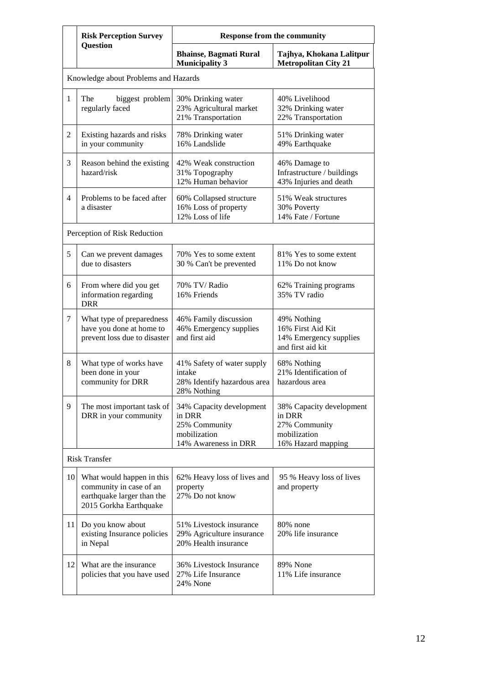|                                      | <b>Risk Perception Survey</b>                                                                                | <b>Response from the community</b>                                                          |                                                                                           |
|--------------------------------------|--------------------------------------------------------------------------------------------------------------|---------------------------------------------------------------------------------------------|-------------------------------------------------------------------------------------------|
|                                      | <b>Question</b>                                                                                              | <b>Bhainse, Bagmati Rural</b><br><b>Municipality 3</b>                                      | Tajhya, Khokana Lalitpur<br><b>Metropolitan City 21</b>                                   |
| Knowledge about Problems and Hazards |                                                                                                              |                                                                                             |                                                                                           |
| $\mathbf{1}$                         | The<br>biggest problem<br>regularly faced                                                                    | 30% Drinking water<br>23% Agricultural market<br>21% Transportation                         | 40% Livelihood<br>32% Drinking water<br>22% Transportation                                |
| 2                                    | Existing hazards and risks<br>in your community                                                              | 78% Drinking water<br>16% Landslide                                                         | 51% Drinking water<br>49% Earthquake                                                      |
| 3                                    | Reason behind the existing<br>hazard/risk                                                                    | 42% Weak construction<br>31% Topography<br>12% Human behavior                               | 46% Damage to<br>Infrastructure / buildings<br>43% Injuries and death                     |
| $\overline{4}$                       | Problems to be faced after<br>a disaster                                                                     | 60% Collapsed structure<br>16% Loss of property<br>12% Loss of life                         | 51% Weak structures<br>30% Poverty<br>14% Fate / Fortune                                  |
| Perception of Risk Reduction         |                                                                                                              |                                                                                             |                                                                                           |
| 5                                    | Can we prevent damages<br>due to disasters                                                                   | 70% Yes to some extent<br>30 % Can't be prevented                                           | 81% Yes to some extent<br>11% Do not know                                                 |
| 6                                    | From where did you get<br>information regarding<br><b>DRR</b>                                                | 70% TV/Radio<br>16% Friends                                                                 | 62% Training programs<br>35% TV radio                                                     |
| 7                                    | What type of preparedness<br>have you done at home to<br>prevent loss due to disaster                        | 46% Family discussion<br>46% Emergency supplies<br>and first aid                            | 49% Nothing<br>16% First Aid Kit<br>14% Emergency supplies<br>and first aid kit           |
| 8                                    | What type of works have<br>been done in your<br>community for DRR                                            | 41% Safety of water supply<br>intake<br>28% Identify hazardous area<br>28% Nothing          | 68% Nothing<br>21% Identification of<br>hazardous area                                    |
| 9                                    | The most important task of<br>DRR in your community                                                          | 34% Capacity development<br>in DRR<br>25% Community<br>mobilization<br>14% Awareness in DRR | 38% Capacity development<br>in DRR<br>27% Community<br>mobilization<br>16% Hazard mapping |
| <b>Risk Transfer</b>                 |                                                                                                              |                                                                                             |                                                                                           |
| 10                                   | What would happen in this<br>community in case of an<br>earthquake larger than the<br>2015 Gorkha Earthquake | 62% Heavy loss of lives and<br>property<br>27% Do not know                                  | 95 % Heavy loss of lives<br>and property                                                  |
| 11                                   | Do you know about<br>existing Insurance policies<br>in Nepal                                                 | 51% Livestock insurance<br>29% Agriculture insurance<br>20% Health insurance                | 80% none<br>20% life insurance                                                            |
| 12                                   | What are the insurance<br>policies that you have used                                                        | 36% Livestock Insurance<br>27% Life Insurance<br>24% None                                   | 89% None<br>11% Life insurance                                                            |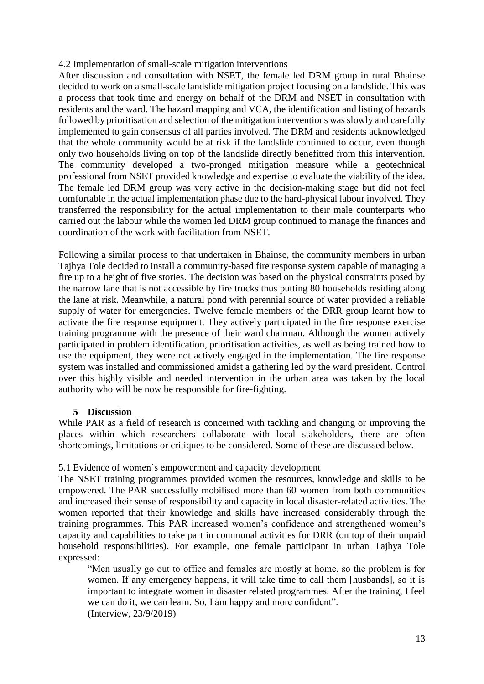### 4.2 Implementation of small-scale mitigation interventions

After discussion and consultation with NSET, the female led DRM group in rural Bhainse decided to work on a small-scale landslide mitigation project focusing on a landslide. This was a process that took time and energy on behalf of the DRM and NSET in consultation with residents and the ward. The hazard mapping and VCA, the identification and listing of hazards followed by prioritisation and selection of the mitigation interventions was slowly and carefully implemented to gain consensus of all parties involved. The DRM and residents acknowledged that the whole community would be at risk if the landslide continued to occur, even though only two households living on top of the landslide directly benefitted from this intervention. The community developed a two-pronged mitigation measure while a geotechnical professional from NSET provided knowledge and expertise to evaluate the viability of the idea. The female led DRM group was very active in the decision-making stage but did not feel comfortable in the actual implementation phase due to the hard-physical labour involved. They transferred the responsibility for the actual implementation to their male counterparts who carried out the labour while the women led DRM group continued to manage the finances and coordination of the work with facilitation from NSET.

Following a similar process to that undertaken in Bhainse, the community members in urban Tajhya Tole decided to install a community-based fire response system capable of managing a fire up to a height of five stories. The decision was based on the physical constraints posed by the narrow lane that is not accessible by fire trucks thus putting 80 households residing along the lane at risk. Meanwhile, a natural pond with perennial source of water provided a reliable supply of water for emergencies. Twelve female members of the DRR group learnt how to activate the fire response equipment. They actively participated in the fire response exercise training programme with the presence of their ward chairman. Although the women actively participated in problem identification, prioritisation activities, as well as being trained how to use the equipment, they were not actively engaged in the implementation. The fire response system was installed and commissioned amidst a gathering led by the ward president. Control over this highly visible and needed intervention in the urban area was taken by the local authority who will be now be responsible for fire-fighting.

### **5 Discussion**

While PAR as a field of research is concerned with tackling and changing or improving the places within which researchers collaborate with local stakeholders, there are often shortcomings, limitations or critiques to be considered. Some of these are discussed below.

### 5.1 Evidence of women's empowerment and capacity development

The NSET training programmes provided women the resources, knowledge and skills to be empowered. The PAR successfully mobilised more than 60 women from both communities and increased their sense of responsibility and capacity in local disaster-related activities. The women reported that their knowledge and skills have increased considerably through the training programmes. This PAR increased women's confidence and strengthened women's capacity and capabilities to take part in communal activities for DRR (on top of their unpaid household responsibilities). For example, one female participant in urban Tajhya Tole expressed:

"Men usually go out to office and females are mostly at home, so the problem is for women. If any emergency happens, it will take time to call them [husbands], so it is important to integrate women in disaster related programmes. After the training, I feel we can do it, we can learn. So, I am happy and more confident". (Interview, 23/9/2019)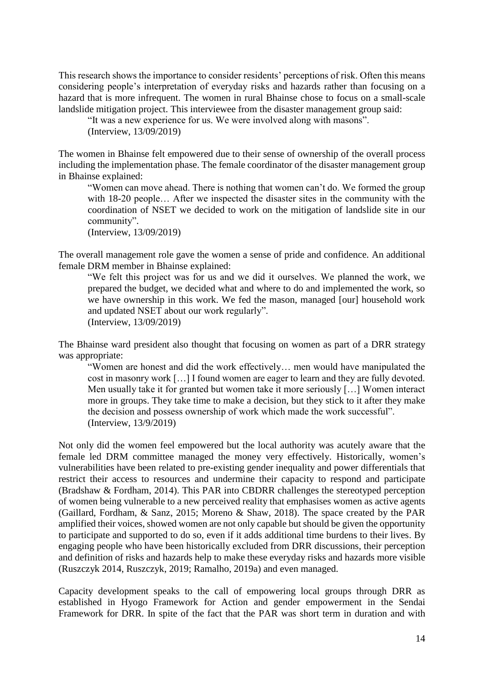This research shows the importance to consider residents' perceptions of risk. Often this means considering people's interpretation of everyday risks and hazards rather than focusing on a hazard that is more infrequent. The women in rural Bhainse chose to focus on a small-scale landslide mitigation project. This interviewee from the disaster management group said:

"It was a new experience for us. We were involved along with masons". (Interview, 13/09/2019)

The women in Bhainse felt empowered due to their sense of ownership of the overall process including the implementation phase. The female coordinator of the disaster management group in Bhainse explained:

"Women can move ahead. There is nothing that women can't do. We formed the group with 18-20 people… After we inspected the disaster sites in the community with the coordination of NSET we decided to work on the mitigation of landslide site in our community".

(Interview, 13/09/2019)

The overall management role gave the women a sense of pride and confidence. An additional female DRM member in Bhainse explained:

"We felt this project was for us and we did it ourselves. We planned the work, we prepared the budget, we decided what and where to do and implemented the work, so we have ownership in this work. We fed the mason, managed [our] household work and updated NSET about our work regularly". (Interview, 13/09/2019)

The Bhainse ward president also thought that focusing on women as part of a DRR strategy was appropriate:

"Women are honest and did the work effectively… men would have manipulated the cost in masonry work […] I found women are eager to learn and they are fully devoted. Men usually take it for granted but women take it more seriously […] Women interact more in groups. They take time to make a decision, but they stick to it after they make the decision and possess ownership of work which made the work successful". (Interview, 13/9/2019)

Not only did the women feel empowered but the local authority was acutely aware that the female led DRM committee managed the money very effectively. Historically, women's vulnerabilities have been related to pre-existing gender inequality and power differentials that restrict their access to resources and undermine their capacity to respond and participate (Bradshaw & Fordham, 2014). This PAR into CBDRR challenges the stereotyped perception of women being vulnerable to a new perceived reality that emphasises women as active agents (Gaillard, Fordham, & Sanz, 2015; Moreno & Shaw, 2018). The space created by the PAR amplified their voices, showed women are not only capable but should be given the opportunity to participate and supported to do so, even if it adds additional time burdens to their lives. By engaging people who have been historically excluded from DRR discussions, their perception and definition of risks and hazards help to make these everyday risks and hazards more visible (Ruszczyk 2014, Ruszczyk, 2019; Ramalho, 2019a) and even managed.

Capacity development speaks to the call of empowering local groups through DRR as established in Hyogo Framework for Action and gender empowerment in the Sendai Framework for DRR. In spite of the fact that the PAR was short term in duration and with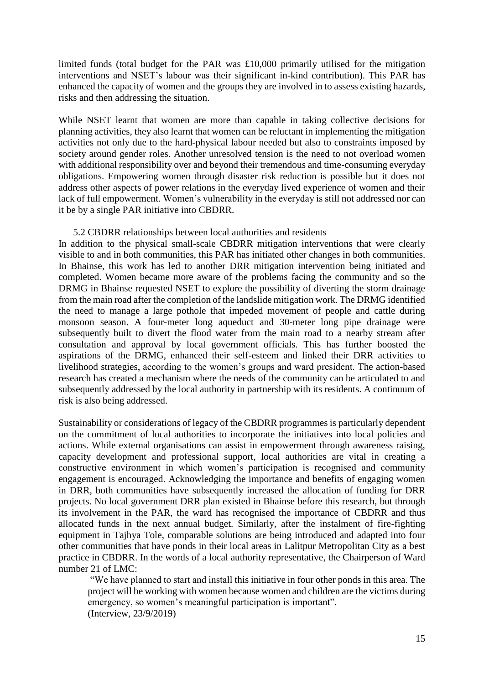limited funds (total budget for the PAR was £10,000 primarily utilised for the mitigation interventions and NSET's labour was their significant in-kind contribution). This PAR has enhanced the capacity of women and the groups they are involved in to assess existing hazards, risks and then addressing the situation.

While NSET learnt that women are more than capable in taking collective decisions for planning activities, they also learnt that women can be reluctant in implementing the mitigation activities not only due to the hard-physical labour needed but also to constraints imposed by society around gender roles. Another unresolved tension is the need to not overload women with additional responsibility over and beyond their tremendous and time-consuming everyday obligations. Empowering women through disaster risk reduction is possible but it does not address other aspects of power relations in the everyday lived experience of women and their lack of full empowerment. Women's vulnerability in the everyday is still not addressed nor can it be by a single PAR initiative into CBDRR.

#### 5.2 CBDRR relationships between local authorities and residents

In addition to the physical small-scale CBDRR mitigation interventions that were clearly visible to and in both communities, this PAR has initiated other changes in both communities. In Bhainse, this work has led to another DRR mitigation intervention being initiated and completed. Women became more aware of the problems facing the community and so the DRMG in Bhainse requested NSET to explore the possibility of diverting the storm drainage from the main road after the completion of the landslide mitigation work. The DRMG identified the need to manage a large pothole that impeded movement of people and cattle during monsoon season. A four-meter long aqueduct and 30-meter long pipe drainage were subsequently built to divert the flood water from the main road to a nearby stream after consultation and approval by local government officials. This has further boosted the aspirations of the DRMG, enhanced their self-esteem and linked their DRR activities to livelihood strategies, according to the women's groups and ward president. The action-based research has created a mechanism where the needs of the community can be articulated to and subsequently addressed by the local authority in partnership with its residents. A continuum of risk is also being addressed.

Sustainability or considerations of legacy of the CBDRR programmes is particularly dependent on the commitment of local authorities to incorporate the initiatives into local policies and actions. While external organisations can assist in empowerment through awareness raising, capacity development and professional support, local authorities are vital in creating a constructive environment in which women's participation is recognised and community engagement is encouraged. Acknowledging the importance and benefits of engaging women in DRR, both communities have subsequently increased the allocation of funding for DRR projects. No local government DRR plan existed in Bhainse before this research, but through its involvement in the PAR, the ward has recognised the importance of CBDRR and thus allocated funds in the next annual budget. Similarly, after the instalment of fire-fighting equipment in Tajhya Tole, comparable solutions are being introduced and adapted into four other communities that have ponds in their local areas in Lalitpur Metropolitan City as a best practice in CBDRR. In the words of a local authority representative, the Chairperson of Ward number 21 of LMC:

"We have planned to start and install this initiative in four other ponds in this area. The project will be working with women because women and children are the victims during emergency, so women's meaningful participation is important". (Interview, 23/9/2019)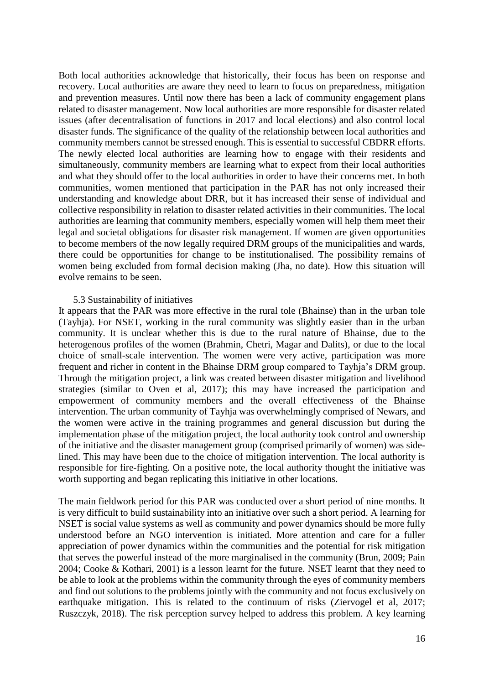Both local authorities acknowledge that historically, their focus has been on response and recovery. Local authorities are aware they need to learn to focus on preparedness, mitigation and prevention measures. Until now there has been a lack of community engagement plans related to disaster management. Now local authorities are more responsible for disaster related issues (after decentralisation of functions in 2017 and local elections) and also control local disaster funds. The significance of the quality of the relationship between local authorities and community members cannot be stressed enough. This is essential to successful CBDRR efforts. The newly elected local authorities are learning how to engage with their residents and simultaneously, community members are learning what to expect from their local authorities and what they should offer to the local authorities in order to have their concerns met. In both communities, women mentioned that participation in the PAR has not only increased their understanding and knowledge about DRR, but it has increased their sense of individual and collective responsibility in relation to disaster related activities in their communities. The local authorities are learning that community members, especially women will help them meet their legal and societal obligations for disaster risk management. If women are given opportunities to become members of the now legally required DRM groups of the municipalities and wards, there could be opportunities for change to be institutionalised. The possibility remains of women being excluded from formal decision making (Jha, no date). How this situation will evolve remains to be seen.

#### 5.3 Sustainability of initiatives

It appears that the PAR was more effective in the rural tole (Bhainse) than in the urban tole (Tayhja). For NSET, working in the rural community was slightly easier than in the urban community. It is unclear whether this is due to the rural nature of Bhainse, due to the heterogenous profiles of the women (Brahmin, Chetri, Magar and Dalits), or due to the local choice of small-scale intervention. The women were very active, participation was more frequent and richer in content in the Bhainse DRM group compared to Tayhja's DRM group. Through the mitigation project, a link was created between disaster mitigation and livelihood strategies (similar to Oven et al, 2017); this may have increased the participation and empowerment of community members and the overall effectiveness of the Bhainse intervention. The urban community of Tayhja was overwhelmingly comprised of Newars, and the women were active in the training programmes and general discussion but during the implementation phase of the mitigation project, the local authority took control and ownership of the initiative and the disaster management group (comprised primarily of women) was sidelined. This may have been due to the choice of mitigation intervention. The local authority is responsible for fire-fighting. On a positive note, the local authority thought the initiative was worth supporting and began replicating this initiative in other locations.

The main fieldwork period for this PAR was conducted over a short period of nine months. It is very difficult to build sustainability into an initiative over such a short period. A learning for NSET is social value systems as well as community and power dynamics should be more fully understood before an NGO intervention is initiated. More attention and care for a fuller appreciation of power dynamics within the communities and the potential for risk mitigation that serves the powerful instead of the more marginalised in the community (Brun, 2009; Pain 2004; Cooke & Kothari, 2001) is a lesson learnt for the future. NSET learnt that they need to be able to look at the problems within the community through the eyes of community members and find out solutions to the problems jointly with the community and not focus exclusively on earthquake mitigation. This is related to the continuum of risks (Ziervogel et al, 2017; Ruszczyk, 2018). The risk perception survey helped to address this problem. A key learning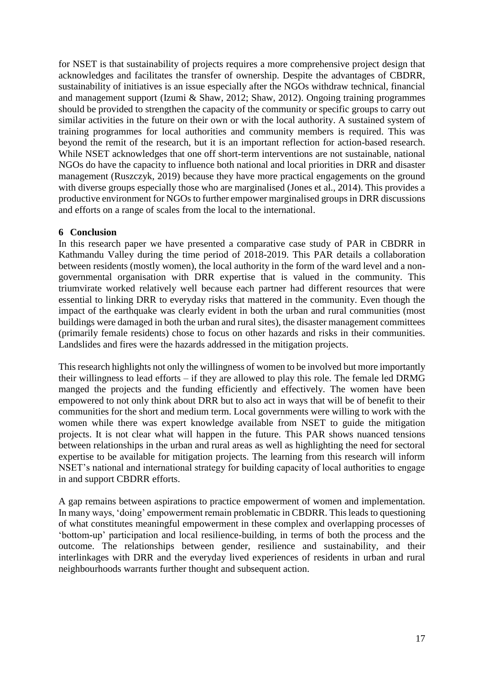for NSET is that sustainability of projects requires a more comprehensive project design that acknowledges and facilitates the transfer of ownership. Despite the advantages of CBDRR, sustainability of initiatives is an issue especially after the NGOs withdraw technical, financial and management support (Izumi & Shaw, 2012; Shaw, 2012). Ongoing training programmes should be provided to strengthen the capacity of the community or specific groups to carry out similar activities in the future on their own or with the local authority. A sustained system of training programmes for local authorities and community members is required. This was beyond the remit of the research, but it is an important reflection for action-based research. While NSET acknowledges that one off short-term interventions are not sustainable, national NGOs do have the capacity to influence both national and local priorities in DRR and disaster management (Ruszczyk, 2019) because they have more practical engagements on the ground with diverse groups especially those who are marginalised (Jones et al., 2014). This provides a productive environment for NGOs to further empower marginalised groups in DRR discussions and efforts on a range of scales from the local to the international.

# **6 Conclusion**

In this research paper we have presented a comparative case study of PAR in CBDRR in Kathmandu Valley during the time period of 2018-2019. This PAR details a collaboration between residents (mostly women), the local authority in the form of the ward level and a nongovernmental organisation with DRR expertise that is valued in the community. This triumvirate worked relatively well because each partner had different resources that were essential to linking DRR to everyday risks that mattered in the community. Even though the impact of the earthquake was clearly evident in both the urban and rural communities (most buildings were damaged in both the urban and rural sites), the disaster management committees (primarily female residents) chose to focus on other hazards and risks in their communities. Landslides and fires were the hazards addressed in the mitigation projects.

This research highlights not only the willingness of women to be involved but more importantly their willingness to lead efforts – if they are allowed to play this role. The female led DRMG manged the projects and the funding efficiently and effectively. The women have been empowered to not only think about DRR but to also act in ways that will be of benefit to their communities for the short and medium term. Local governments were willing to work with the women while there was expert knowledge available from NSET to guide the mitigation projects. It is not clear what will happen in the future. This PAR shows nuanced tensions between relationships in the urban and rural areas as well as highlighting the need for sectoral expertise to be available for mitigation projects. The learning from this research will inform NSET's national and international strategy for building capacity of local authorities to engage in and support CBDRR efforts.

A gap remains between aspirations to practice empowerment of women and implementation. In many ways, 'doing' empowerment remain problematic in CBDRR. This leads to questioning of what constitutes meaningful empowerment in these complex and overlapping processes of 'bottom-up' participation and local resilience-building, in terms of both the process and the outcome. The relationships between gender, resilience and sustainability, and their interlinkages with DRR and the everyday lived experiences of residents in urban and rural neighbourhoods warrants further thought and subsequent action.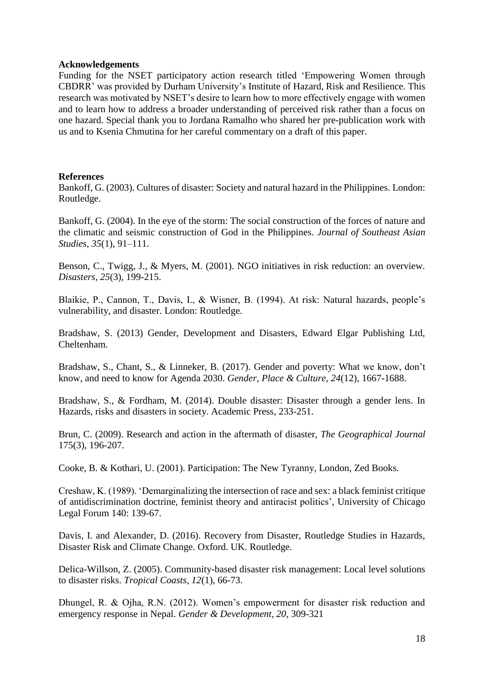#### **Acknowledgements**

Funding for the NSET participatory action research titled 'Empowering Women through CBDRR' was provided by Durham University's Institute of Hazard, Risk and Resilience. This research was motivated by NSET's desire to learn how to more effectively engage with women and to learn how to address a broader understanding of perceived risk rather than a focus on one hazard. Special thank you to Jordana Ramalho who shared her pre-publication work with us and to Ksenia Chmutina for her careful commentary on a draft of this paper.

### **References**

Bankoff, G. (2003). Cultures of disaster: Society and natural hazard in the Philippines. London: Routledge.

Bankoff, G. (2004). In the eye of the storm: The social construction of the forces of nature and the climatic and seismic construction of God in the Philippines. *Journal of Southeast Asian Studies, 35*(1), 91–111.

Benson, C., Twigg, J., & Myers, M. (2001). NGO initiatives in risk reduction: an overview. *Disasters, 25*(3), 199-215.

Blaikie, P., Cannon, T., Davis, I., & Wisner, B. (1994). At risk: Natural hazards, people's vulnerability, and disaster. London: Routledge.

Bradshaw, S. (2013) Gender, Development and Disasters, Edward Elgar Publishing Ltd, Cheltenham.

Bradshaw, S., Chant, S., & Linneker, B. (2017). Gender and poverty: What we know, don't know, and need to know for Agenda 2030. *Gender, Place & Culture, 24*(12), 1667-1688.

Bradshaw, S., & Fordham, M. (2014). Double disaster: Disaster through a gender lens. In Hazards, risks and disasters in society. Academic Press, 233-251.

Brun, C. (2009). Research and action in the aftermath of disaster, *The Geographical Journal* 175(3), 196-207.

Cooke, B. & Kothari, U. (2001). Participation: The New Tyranny, London, Zed Books.

Creshaw, K. (1989). 'Demarginalizing the intersection of race and sex: a black feminist critique of antidiscrimination doctrine, feminist theory and antiracist politics', University of Chicago Legal Forum 140: 139-67.

Davis, I. and Alexander, D. (2016). Recovery from Disaster, Routledge Studies in Hazards, Disaster Risk and Climate Change. Oxford. UK. Routledge.

Delica-Willson, Z. (2005). Community-based disaster risk management: Local level solutions to disaster risks. *Tropical Coasts, 12*(1), 66-73.

Dhungel, R. & Ojha, R.N. (2012). Women's empowerment for disaster risk reduction and emergency response in Nepal. *Gender & Development, 20*, 309-321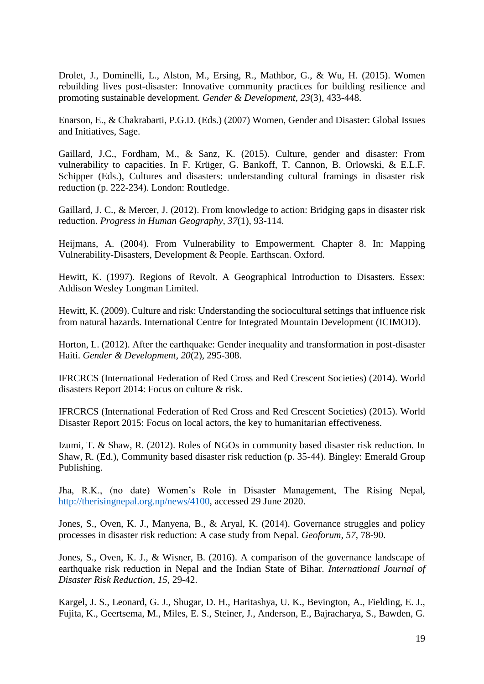Drolet, J., Dominelli, L., Alston, M., Ersing, R., Mathbor, G., & Wu, H. (2015). Women rebuilding lives post-disaster: Innovative community practices for building resilience and promoting sustainable development. *Gender & Development, 23*(3), 433-448.

Enarson, E., & Chakrabarti, P.G.D. (Eds.) (2007) Women, Gender and Disaster: Global Issues and Initiatives, Sage.

Gaillard, J.C., Fordham, M., & Sanz, K. (2015). Culture, gender and disaster: From vulnerability to capacities. In F. Krüger, G. Bankoff, T. Cannon, B. Orlowski, & E.L.F. Schipper (Eds.), Cultures and disasters: understanding cultural framings in disaster risk reduction (p. 222-234). London: Routledge.

Gaillard, J. C., & Mercer, J. (2012). From knowledge to action: Bridging gaps in disaster risk reduction. *Progress in Human Geography, 37*(1), 93-114.

Heijmans, A. (2004). From Vulnerability to Empowerment. Chapter 8. In: Mapping Vulnerability-Disasters, Development & People. Earthscan. Oxford.

Hewitt, K. (1997). Regions of Revolt. A Geographical Introduction to Disasters. Essex: Addison Wesley Longman Limited.

Hewitt, K. (2009). Culture and risk: Understanding the sociocultural settings that influence risk from natural hazards. International Centre for Integrated Mountain Development (ICIMOD).

Horton, L. (2012). After the earthquake: Gender inequality and transformation in post-disaster Haiti. *Gender & Development, 20*(2), 295-308.

IFRCRCS (International Federation of Red Cross and Red Crescent Societies) (2014). World disasters Report 2014: Focus on culture & risk.

IFRCRCS (International Federation of Red Cross and Red Crescent Societies) (2015). World Disaster Report 2015: Focus on local actors, the key to humanitarian effectiveness.

Izumi, T. & Shaw, R. (2012). Roles of NGOs in community based disaster risk reduction. In Shaw, R. (Ed.), Community based disaster risk reduction (p. 35-44). Bingley: Emerald Group Publishing.

Jha, R.K., (no date) Women's Role in Disaster Management, The Rising Nepal, [http://therisingnepal.org.np/news/4100,](http://therisingnepal.org.np/news/4100) accessed 29 June 2020.

Jones, S., Oven, K. J., Manyena, B., & Aryal, K. (2014). Governance struggles and policy processes in disaster risk reduction: A case study from Nepal. *Geoforum, 57*, 78-90.

Jones, S., Oven, K. J., & Wisner, B. (2016). A comparison of the governance landscape of earthquake risk reduction in Nepal and the Indian State of Bihar. *International Journal of Disaster Risk Reduction, 15*, 29-42.

Kargel, J. S., Leonard, G. J., Shugar, D. H., Haritashya, U. K., Bevington, A., Fielding, E. J., Fujita, K., Geertsema, M., Miles, E. S., Steiner, J., Anderson, E., Bajracharya, S., Bawden, G.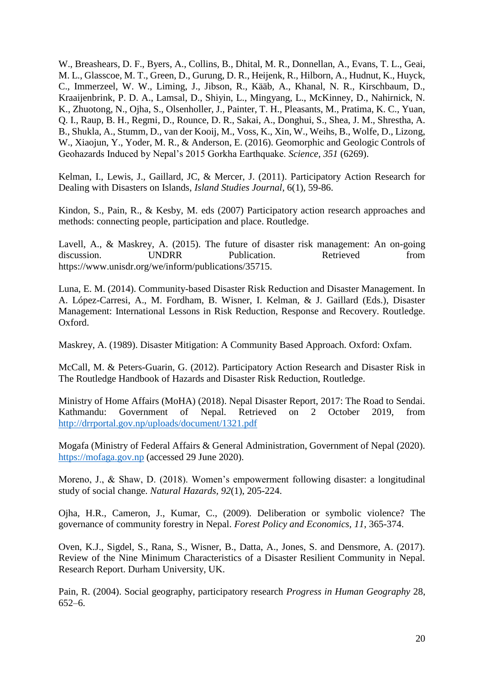W., Breashears, D. F., Byers, A., Collins, B., Dhital, M. R., Donnellan, A., Evans, T. L., Geai, M. L., Glasscoe, M. T., Green, D., Gurung, D. R., Heijenk, R., Hilborn, A., Hudnut, K., Huyck, C., Immerzeel, W. W., Liming, J., Jibson, R., Kääb, A., Khanal, N. R., Kirschbaum, D., Kraaijenbrink, P. D. A., Lamsal, D., Shiyin, L., Mingyang, L., McKinney, D., Nahirnick, N. K., Zhuotong, N., Ojha, S., Olsenholler, J., Painter, T. H., Pleasants, M., Pratima, K. C., Yuan, Q. I., Raup, B. H., Regmi, D., Rounce, D. R., Sakai, A., Donghui, S., Shea, J. M., Shrestha, A. B., Shukla, A., Stumm, D., van der Kooij, M., Voss, K., Xin, W., Weihs, B., Wolfe, D., Lizong, W., Xiaojun, Y., Yoder, M. R., & Anderson, E. (2016). Geomorphic and Geologic Controls of Geohazards Induced by Nepal's 2015 Gorkha Earthquake. *Science, 351* (6269).

Kelman, I., Lewis, J., Gaillard, JC, & Mercer, J. (2011). Participatory Action Research for Dealing with Disasters on Islands, *Island Studies Journal*, 6(1), 59-86.

Kindon, S., Pain, R., & Kesby, M. eds (2007) Participatory action research approaches and methods: connecting people, participation and place. Routledge.

Lavell, A., & Maskrey, A. (2015). The future of disaster risk management: An on-going discussion. UNDRR Publication. Retrieved from https://www.unisdr.org/we/inform/publications/35715.

Luna, E. M. (2014). Community-based Disaster Risk Reduction and Disaster Management. In A. López-Carresi, A., M. Fordham, B. Wisner, I. Kelman, & J. Gaillard (Eds.), Disaster Management: International Lessons in Risk Reduction, Response and Recovery. Routledge. Oxford.

Maskrey, A. (1989). Disaster Mitigation: A Community Based Approach. Oxford: Oxfam.

McCall, M. & Peters-Guarin, G. (2012). Participatory Action Research and Disaster Risk in The Routledge Handbook of Hazards and Disaster Risk Reduction, Routledge.

Ministry of Home Affairs (MoHA) (2018). Nepal Disaster Report, 2017: The Road to Sendai. Kathmandu: Government of Nepal. Retrieved on 2 October 2019, from <http://drrportal.gov.np/uploads/document/1321.pdf>

Mogafa (Ministry of Federal Affairs & General Administration, Government of Nepal (2020). [https://mofaga.gov.np](https://mofaga.gov.np/) (accessed 29 June 2020).

Moreno, J., & Shaw, D. (2018). Women's empowerment following disaster: a longitudinal study of social change. *Natural Hazards, 92*(1), 205-224.

Ojha, H.R., Cameron, J., Kumar, C., (2009). Deliberation or symbolic violence? The governance of community forestry in Nepal. *Forest Policy and Economics, 11*, 365-374.

Oven, K.J., Sigdel, S., Rana, S., Wisner, B., Datta, A., Jones, S. and Densmore, A. (2017). Review of the Nine Minimum Characteristics of a Disaster Resilient Community in Nepal. Research Report. Durham University, UK.

Pain, R. (2004). Social geography, participatory research *Progress in Human Geography* 28, 652–6.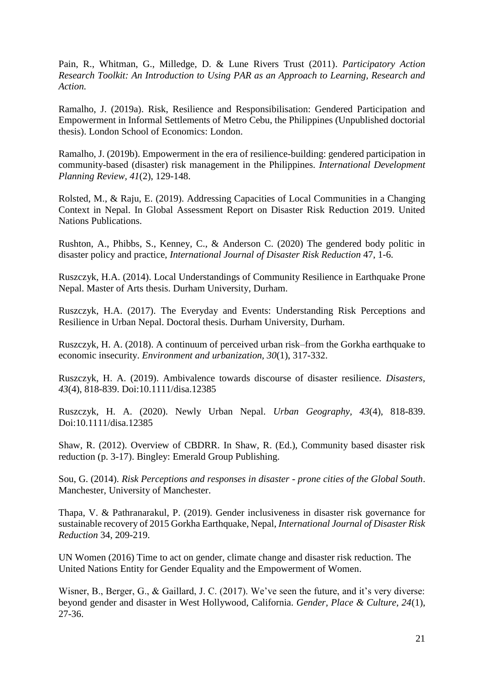Pain, R., Whitman, G., Milledge, D. & Lune Rivers Trust (2011). *Participatory Action Research Toolkit: An Introduction to Using PAR as an Approach to Learning, Research and Action.*

Ramalho, J. (2019a). Risk, Resilience and Responsibilisation: Gendered Participation and Empowerment in Informal Settlements of Metro Cebu, the Philippines (Unpublished doctorial thesis). London School of Economics: London.

Ramalho, J. (2019b). Empowerment in the era of resilience-building: gendered participation in community-based (disaster) risk management in the Philippines. *International Development Planning Review, 41*(2), 129-148.

Rolsted, M., & Raju, E. (2019). Addressing Capacities of Local Communities in a Changing Context in Nepal. In Global Assessment Report on Disaster Risk Reduction 2019. United Nations Publications.

Rushton, A., Phibbs, S., Kenney, C., & Anderson C. (2020) The gendered body politic in disaster policy and practice, *International Journal of Disaster Risk Reduction* 47, 1-6.

Ruszczyk, H.A. (2014). Local Understandings of Community Resilience in Earthquake Prone Nepal. Master of Arts thesis. Durham University, Durham.

Ruszczyk, H.A. (2017). The Everyday and Events: Understanding Risk Perceptions and Resilience in Urban Nepal. Doctoral thesis. Durham University, Durham.

Ruszczyk, H. A. (2018). A continuum of perceived urban risk–from the Gorkha earthquake to economic insecurity. *Environment and urbanization, 30*(1), 317-332.

Ruszczyk, H. A. (2019). Ambivalence towards discourse of disaster resilience. *Disasters, 43*(4), 818-839. Doi:10.1111/disa.12385

Ruszczyk, H. A. (2020). Newly Urban Nepal. *Urban Geography, 43*(4), 818-839. Doi:10.1111/disa.12385

Shaw, R. (2012). Overview of CBDRR. In Shaw, R. (Ed.), Community based disaster risk reduction (p. 3-17). Bingley: Emerald Group Publishing.

Sou, G. (2014). *Risk Perceptions and responses in disaster - prone cities of the Global South*. Manchester, University of Manchester.

Thapa, V. & Pathranarakul, P. (2019). Gender inclusiveness in disaster risk governance for sustainable recovery of 2015 Gorkha Earthquake, Nepal, *International Journal of Disaster Risk Reduction* 34, 209-219.

UN Women (2016) Time to act on gender, climate change and disaster risk reduction. The United Nations Entity for Gender Equality and the Empowerment of Women.

Wisner, B., Berger, G., & Gaillard, J. C. (2017). We've seen the future, and it's very diverse: beyond gender and disaster in West Hollywood, California. *Gender, Place & Culture, 24*(1), 27-36.